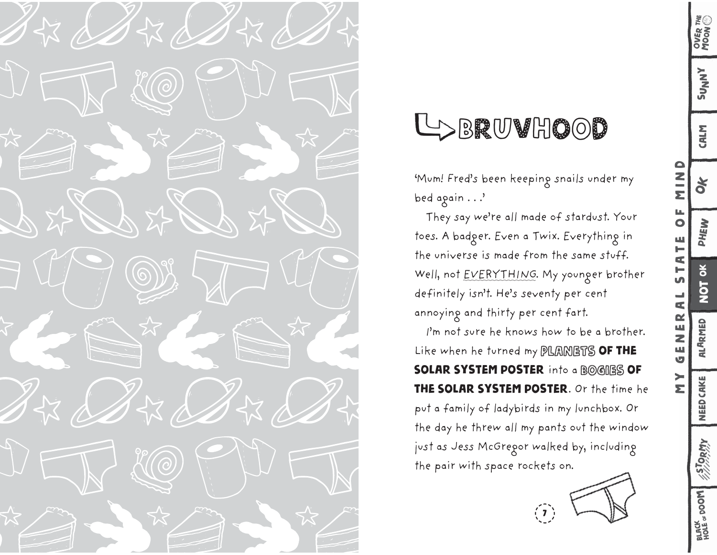

## L<sub>>BRUVH</sub>ood

'Mum! Fred's been keeping snails under my bed again . . .'

They say we're all made of stardust. Your toes. A badger. Even a Twix. Everything in the universe is made from the same stuff. Well, not EVERYTHING. My younger brother definitely isn't. He's seventy per cent annoying and thirty per cent fart.

I'm not sure he knows how to be a brother. Like when he turned my PLANETS OF THE SOLAR SYSTEM POSTER into a BOGIES OF THE SOLAR SYSTEM POSTER. Or the time he put a family of ladybirds in my lunchbox. Or the day he threw all my pants out the window just as Jess McGregor walked by, including the pair with space rockets on.

7

my general state of mind

 $\blacktriangleleft$  $\alpha$  $\frac{1}{2}$ 

 $\frac{1}{9}$ 

 $\mathbf{r}$ 

**un** 

Œ

NIN

 $\frac{1}{\overline{a}}$ 

BLACK DOOM

Stormy

need cake al

**NEED CAKE** 

**ALARMED** 

**PHEW** 

not ok

calm

ok

ີສ n  $\mathsf{z}$  $\succeq$ 

**OVER** the

moon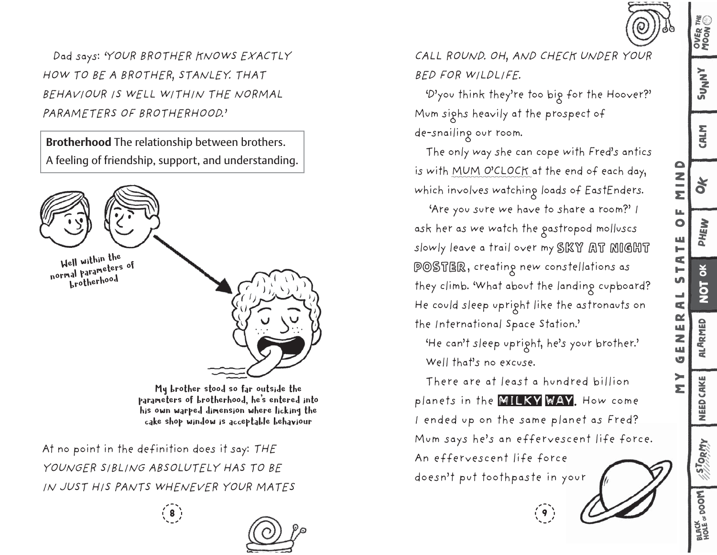the **OVER** moon  $\succeq$  $\mathsf{z}$ n ີສ calm  $\frac{1}{2}$ my general state of mind ok  $\overline{\mathbf{z}}$  $\underline{\mathbf{u}}$  $\bullet$ **PHEW** ш<br>Н  $\overline{F}$ not ok **un**  $\overline{A}$  $\mathbf{\underline{\alpha}}$ **ALARMED**  $\underline{\omega}$ Z Щ  $S_{JQR}^{N}$ y NEED CAKE  $\parallel$  AL  $\bullet$ ≻ **NEED CAKE** Σ

Dad says: 'YOUR BROTHER KNOWS EXACTLY HOW TO BE A BROTHER, STANLEY. THAT BEHAVIOUR IS WELL WITHIN THE NORMAL PARAMETERS OF BROTHERHOOD.'

**Brotherhood** The relationship between brothers. A feeling of friendship, support, and understanding.



My brother stood so far outside the parameters of brotherhood, he's entered into his own warped dimension where licking the cake shop window is acceptable behaviour

At no point in the definition does it say: THE YOUNGER SIBLING ABSOLUTELY HAS TO BE IN JUST HIS PANTS WHENEVER YOUR MATES

8

## CALL ROUND. OH, AND CHECK UNDER YOUR BED FOR WILDLIFE.

'D'you think they're too big for the Hoover?' Mum sighs heavily at the prospect of de-snailing our room.

The only way she can cope with Fred's antics is with MUM O'CLOCK at the end of each day, which involves watching loads of EastEnders.

 'Are you sure we have to share a room?' I ask her as we watch the gastropod molluscs slowly leave a trail over my SKY AT MIGHT poster, creating new constellations as they climb. 'What about the landing cupboard? He could sleep upright like the astronauts on the International Space Station.'

'He can't sleep upright, he's your brother.' Well that's no excuse.

There are at least a hundred billion <sup>p</sup>lanets in the Milky Way. How come I ended up on the same planet as Fred? Mum says he's an effervescent life force.

An effervescent life force doesn't put toothpaste in your

9

m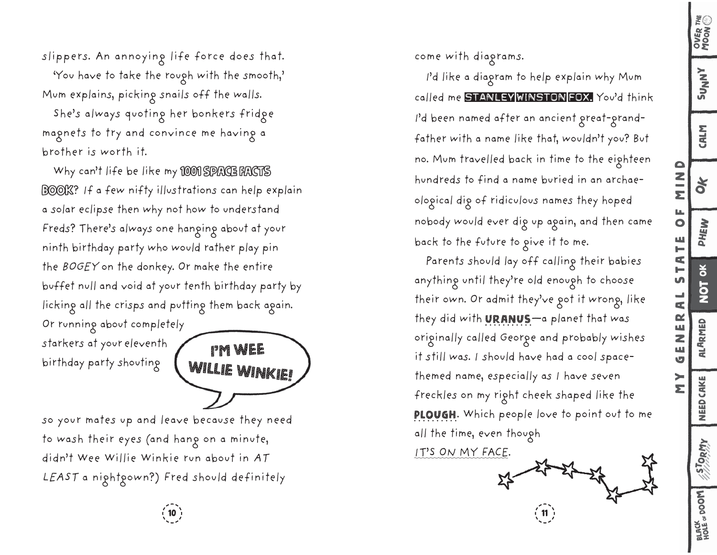$\blacksquare$ 

black hole of doom

slippers. An annoying life force does that.

'You have to take the rough with the smooth,' Mum explains, picking snails off the walls.

She's always quoting her bonkers fridge magnets to try and convince me having a brother is worth it.

Why can't life be like my 1001 SPACE FACTS BOOK? If a few nifty illustrations can help explain a solar eclipse then why not how to understand Freds? There's always one hanging about at your ninth birthday party who would rather play pin the BOGEY on the donkey. Or make the entire buffet null and void at your tenth birthday party by licking all the crisps and putting them back again. Or running about completely

starkers at your eleventh birthday party shouting



to wash their eyes (and hang on a minute, didn't Wee Willie Winkie run about in AT LEAST a nightgown?) Fred should definitely come with diagrams.

<sup>I</sup>'d like a diagram to help explain why Mum called me STANLEY WINSTON FOX. You'd think I'd been named after an ancient great-grandfather with a name like that, wouldn't you? But no. Mum travelled back in time to the eighteen hundreds to find a name buried in an archaeological dig of ridiculous names they hoped nobody would ever dig up again, and then came back to the future to give it to me.

Parents should lay off calling their babies anything until they're old enough to choose their own. Or admit they've got it wrong, like they did with URANUS—a planet that was originally called George and probably wishes it still was. I should have had a cool spacethemed name, especially as I have seven freckles on my right cheek shaped like the Plough. Which people love to point out to me all the time, even though

11

IT'S ON MY FACE.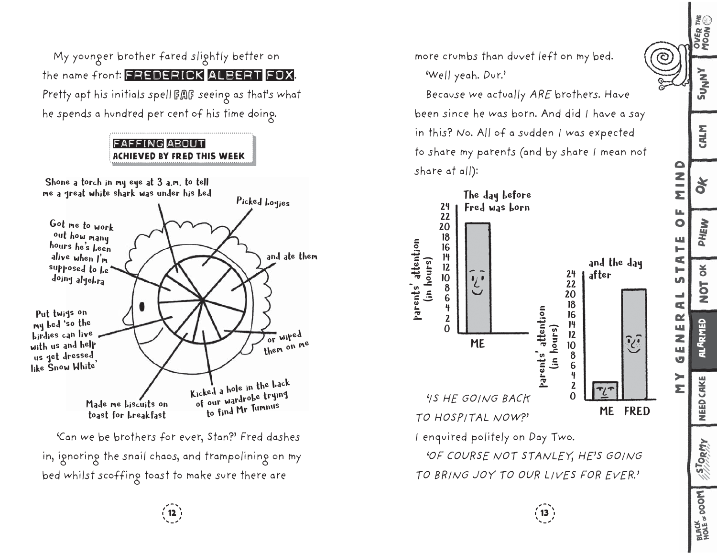My younger brother fared slightly better on the name front: FREDERICK ALBERT FOX. Pretty apt his initials spell FAF seeing as that's what he spends a hundred per cent of his time doing.

## Faffing About Achieved By Fred This Week



 'Can we be brothers for ever, Stan?' Fred dashes in, ignoring the snail chaos, and trampolining on my bed whilst scoffing toast to make sure there are

more crumbs than duvet left on my bed. 'Well yeah. Dur.'

Because we actually ARE brothers. Have been since he was born. And did I have a say in this? No. All of a sudden I was expected to share my parents (and by share I mean not share at all):



my general state of mind

 $\mathbf{\underline{\alpha}}$ 

 $\frac{4}{5}$ 

цЦ.  $\bullet$ 

≻

Σ

 $\mathbf{u}$ پ  $\mathbf{C}$ 

 $\bullet$ 

 $\frac{z}{z}$ 

Lь.  $\bullet$ 

щ

 $\blacksquare$ FA OVER THE

calm sunny

CALM

**THUNS** 

ok

**PHEW** 

black hole of doom

**STORM** 

STORMY NEED CARE ALARMED NOT OK PHEW

**NEED CAKE** 

**ALARMED** 

not ok

'OF COURSE NOT STANLEY, HE'S GOING TO BRING JOY TO OUR LIVES FOR EVER.'



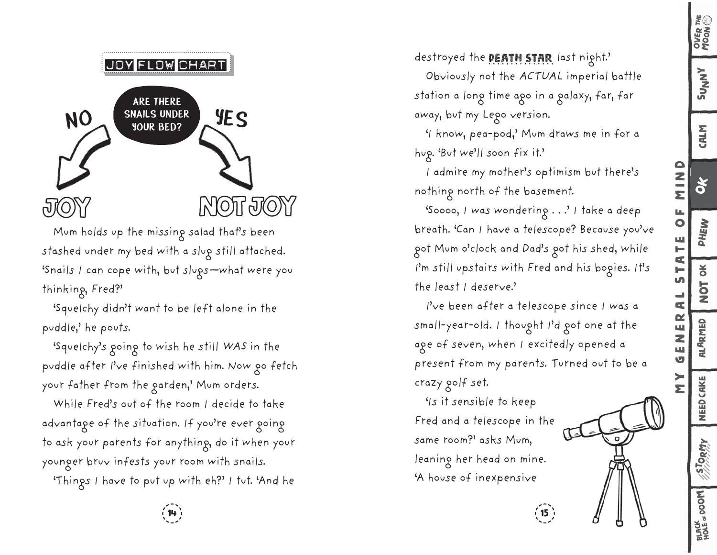OVER THE

black hole of doom

**STORM** 

## NO **YES** JOY NOT JOY ARE THERE SNAILS UNDER YOUR BED? Joy Flow Chart

Mum holds up the missing salad that's been stashed under my bed with a slug still attached. 'Snails I can cope with, but slugs—what were you thinking, Fred?'

'Squelchy didn't want to be left alone in the puddle,' he pouts.

'Squelchy's going to wish he still WAS in the puddle after I've finished with him. Now go fetch your father from the garden,' Mum orders.

While Fred's out of the room I decide to take advantage of the situation. If you're ever going to ask your parents for anything, do it when your younger bruv infests your room with snails.

'Things I have to put up with eh?' I tut. 'And he

destroyed the DEATH STAR last night.'

Obviously not the ACTUAL imperial battle station a long time ago in a galaxy, far, far away, but my Lego version.

'I know, pea-pod,' Mum draws me in for a hug. 'But we'll soon fix it.'

I admire my mother's optimism but there's nothing north of the basement.

'Soooo, I was wondering . . .' I take a deep breath. 'Can I have a telescope? Because you've got Mum o'clock and Dad's got his shed, while I'm still upstairs with Fred and his bogies. It's the least I deserve.'

<sup>I</sup>'ve been after a telescope since I was a small-year-old. I thought I'd got one at the age of seven, when I excitedly opened a present from my parents. Turned out to be a crazy golf set.

15

'Is it sensible to keep Fred and a telescope in the same room?' asks Mum, leaning her head on mine. 'A house of inexpensive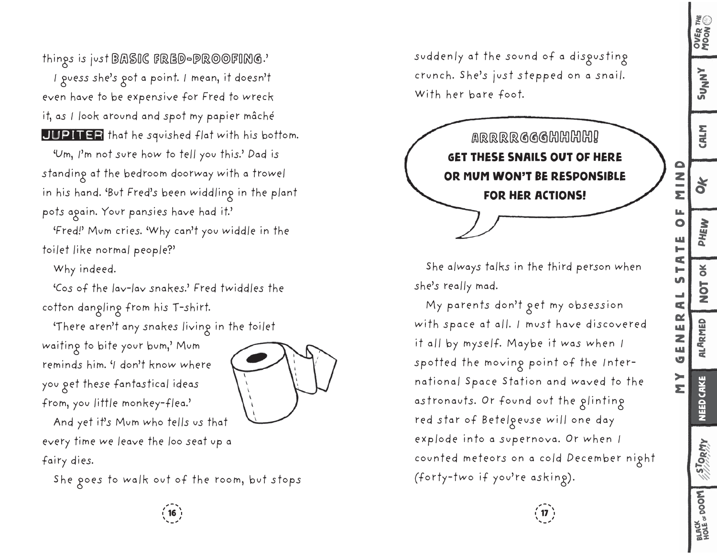the **OVER** moon  $\succeq$  $\mathsf{z}$ n u ທ<sub>ີ</sub> calm  $\bullet$ my general state of mind  $\frac{z}{z}$ ok 里  $\overline{\mathbf{o}}$ **PHEW** щ Œ not ok H **Un**  $\blacksquare$  $\mathbf{\underline{\alpha}}$ **ALARMED** ЦÚ. Z  $\omega$  $S_{JQR}^{N}$ y Need cake all  $\bullet$ **NN NEED CAKE** 

BLACK DOOM

S

m

I guess she's got a point. I mean, it doesn't even have to be expensive for Fred to wreck it, as I look around and spot my papier mâché JUPITER that he squished flat with his bottom.

'Um, I'm not sure how to tell you this.' Dad is standing at the bedroom doorway with a trowel in his hand. 'But Fred's been widdling in the plant pots again. Your pansies have had it.'

'Fred!' Mum cries. 'Why can't you widdle in the toilet like normal people?'

Why indeed.

'Cos of the lav-lav snakes.' Fred twiddles the cotton dangling from his T-shirt.

'There aren't any snakes living in the toilet

waiting to bite your bum,' Mum reminds him. 'I don't know where you get these fantastical ideas from, you little monkey-flea.'



And yet it's Mum who tells us that every time we leave the loo seat up a fairy dies.

She goes to walk out of the room, but stops



Arrrrggghhhh! Get these snails out of here or Mum won't be responsible for her actions!

She always talks in the third person when she's really mad.

My parents don't get my obsession with space at all. I must have discovered it all by myself. Maybe it was when I spotted the moving point of the International Space Station and waved to the astronauts. Or found out the glinting red star of Betelgeuse will one day explode into a supernova. Or when I counted meteors on a cold December night (forty-two if you're asking).